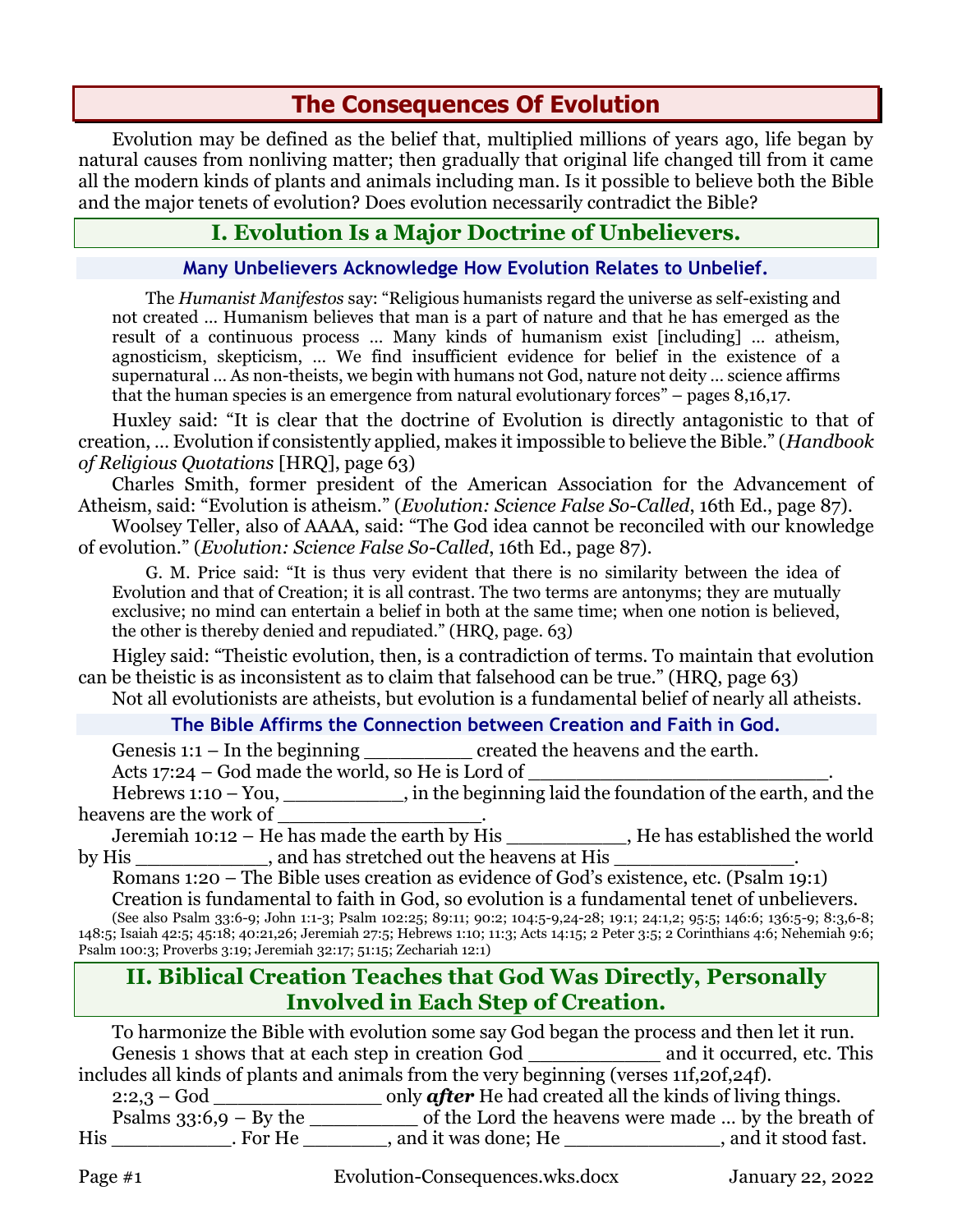# **The Consequences Of Evolution**

Evolution may be defined as the belief that, multiplied millions of years ago, life began by natural causes from nonliving matter; then gradually that original life changed till from it came all the modern kinds of plants and animals including man. Is it possible to believe both the Bible and the major tenets of evolution? Does evolution necessarily contradict the Bible?

# **I. Evolution Is a Major Doctrine of Unbelievers.**

#### **Many Unbelievers Acknowledge How Evolution Relates to Unbelief.**

The *Humanist Manifestos* say: "Religious humanists regard the universe as self-existing and not created … Humanism believes that man is a part of nature and that he has emerged as the result of a continuous process … Many kinds of humanism exist [including] … atheism, agnosticism, skepticism, … We find insufficient evidence for belief in the existence of a supernatural … As non-theists, we begin with humans not God, nature not deity … science affirms that the human species is an emergence from natural evolutionary forces" – pages 8,16,17.

Huxley said: "It is clear that the doctrine of Evolution is directly antagonistic to that of creation, … Evolution if consistently applied, makes it impossible to believe the Bible." (*Handbook of Religious Quotations* [HRQ], page 63)

Charles Smith, former president of the American Association for the Advancement of Atheism, said: "Evolution is atheism." (*Evolution: Science False So-Called*, 16th Ed., page 87).

Woolsey Teller, also of AAAA, said: "The God idea cannot be reconciled with our knowledge of evolution." (*Evolution: Science False So-Called*, 16th Ed., page 87).

G. M. Price said: "It is thus very evident that there is no similarity between the idea of Evolution and that of Creation; it is all contrast. The two terms are antonyms; they are mutually exclusive; no mind can entertain a belief in both at the same time; when one notion is believed, the other is thereby denied and repudiated." (HRQ, page. 63)

Higley said: "Theistic evolution, then, is a contradiction of terms. To maintain that evolution can be theistic is as inconsistent as to claim that falsehood can be true." (HRQ, page 63)

Not all evolutionists are atheists, but evolution is a fundamental belief of nearly all atheists.

### **The Bible Affirms the Connection between Creation and Faith in God.**

Genesis 1:1 – In the beginning created the heavens and the earth.

Acts  $17:24 - God$  made the world, so He is Lord of

Hebrews 1:10 – You, \_\_\_\_\_\_\_\_, in the beginning laid the foundation of the earth, and the heavens are the work of

Jeremiah 10:12 – He has made the earth by His \_\_\_\_\_\_\_\_\_\_, He has established the world by His \_\_\_\_\_\_\_\_\_\_\_\_, and has stretched out the heavens at His \_\_\_\_\_\_\_\_\_\_\_\_\_\_\_\_\_\_

Romans 1:20 – The Bible uses creation as evidence of God's existence, etc. (Psalm 19:1) Creation is fundamental to faith in God, so evolution is a fundamental tenet of unbelievers.

(See also Psalm 33:6-9; John 1:1-3; Psalm 102:25; 89:11; 90:2; 104:5-9,24-28; 19:1; 24:1,2; 95:5; 146:6; 136:5-9; 8:3,6-8; 148:5; Isaiah 42:5; 45:18; 40:21,26; Jeremiah 27:5; Hebrews 1:10; 11:3; Acts 14:15; 2 Peter 3:5; 2 Corinthians 4:6; Nehemiah 9:6; Psalm 100:3; Proverbs 3:19; Jeremiah 32:17; 51:15; Zechariah 12:1)

# **II. Biblical Creation Teaches that God Was Directly, Personally Involved in Each Step of Creation.**

To harmonize the Bible with evolution some say God began the process and then let it run. Genesis 1 shows that at each step in creation God \_\_\_\_\_\_\_\_\_\_\_ and it occurred, etc. This includes all kinds of plants and animals from the very beginning (verses 11f,20f,24f). 2:2,3 – God \_\_\_\_\_\_\_\_\_\_\_\_\_\_ only *after* He had created all the kinds of living things. Psalms  $33:6,9 - By$  the  $\_\_\_\_\_\_\_\_$  of the Lord the heavens were made  $\ldots$  by the breath of

His \_\_\_\_\_\_\_\_\_\_. For He \_\_\_\_\_\_\_, and it was done; He \_\_\_\_\_\_\_\_\_\_\_\_\_, and it stood fast.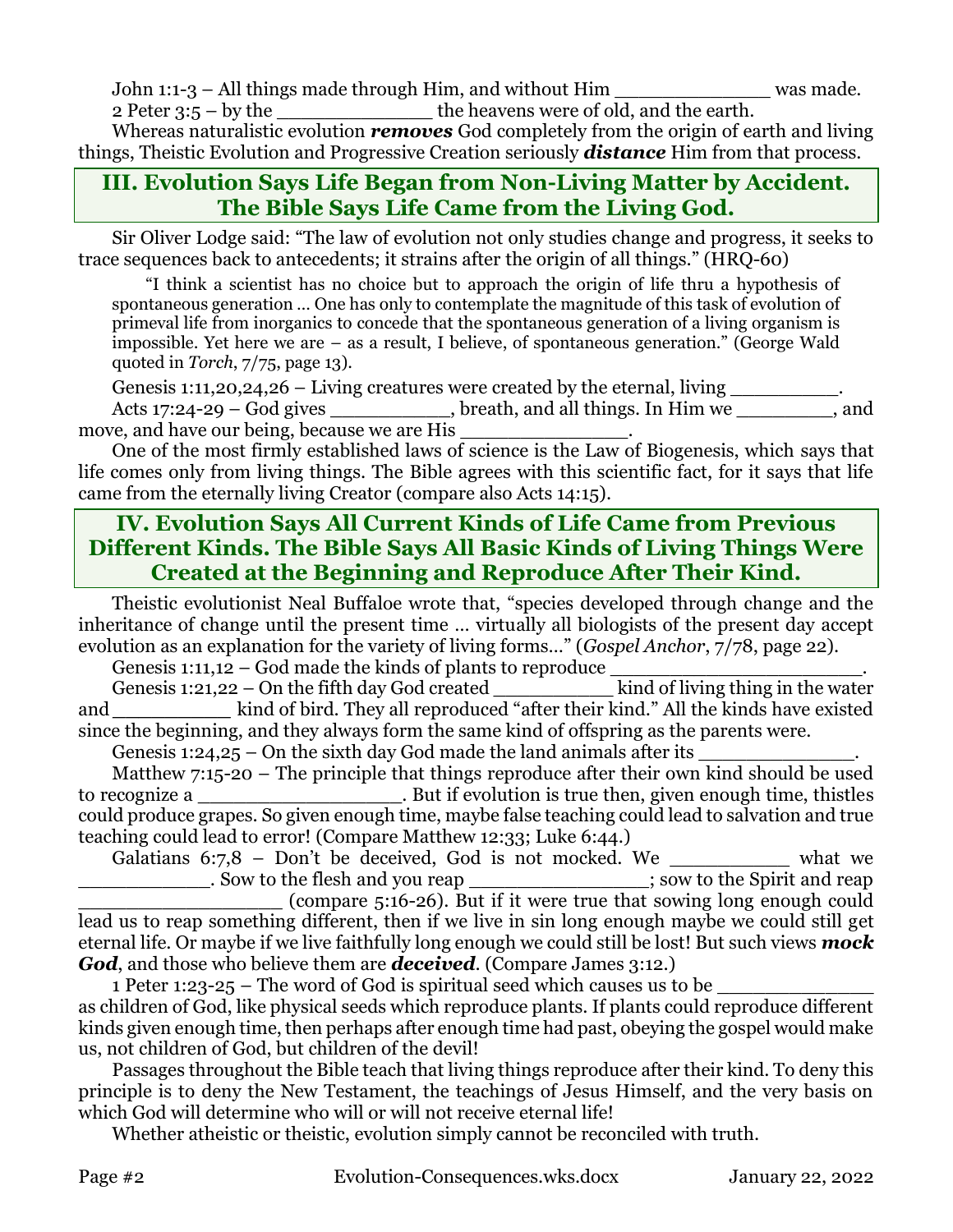John 1:1-3 – All things made through Him, and without Him \_\_\_\_\_\_\_\_\_\_\_\_\_ was made.

2 Peter 3:5 – by the \_\_\_\_\_\_\_\_\_\_\_\_\_\_\_\_\_\_\_\_the heavens were of old, and the earth.

Whereas naturalistic evolution *removes* God completely from the origin of earth and living things, Theistic Evolution and Progressive Creation seriously *distance* Him from that process.

# **III. Evolution Says Life Began from Non-Living Matter by Accident. The Bible Says Life Came from the Living God.**

Sir Oliver Lodge said: "The law of evolution not only studies change and progress, it seeks to trace sequences back to antecedents; it strains after the origin of all things." (HRQ-60)

"I think a scientist has no choice but to approach the origin of life thru a hypothesis of spontaneous generation … One has only to contemplate the magnitude of this task of evolution of primeval life from inorganics to concede that the spontaneous generation of a living organism is impossible. Yet here we are – as a result, I believe, of spontaneous generation." (George Wald quoted in *Torch*, 7/75, page 13).

Genesis 1:11,20,24,26 – Living creatures were created by the eternal, living  $\frac{1}{\sqrt{2}}$ 

Acts 17:24-29 – God gives \_\_\_\_\_\_\_\_\_\_, breath, and all things. In Him we \_\_\_\_\_\_\_\_, and move, and have our being, because we are His

One of the most firmly established laws of science is the Law of Biogenesis, which says that life comes only from living things. The Bible agrees with this scientific fact, for it says that life came from the eternally living Creator (compare also Acts 14:15).

# **IV. Evolution Says All Current Kinds of Life Came from Previous Different Kinds. The Bible Says All Basic Kinds of Living Things Were Created at the Beginning and Reproduce After Their Kind.**

Theistic evolutionist Neal Buffaloe wrote that, "species developed through change and the inheritance of change until the present time … virtually all biologists of the present day accept evolution as an explanation for the variety of living forms…" (*Gospel Anchor*, 7/78, page 22).

Genesis 1:11,12 – God made the kinds of plants to reproduce

Genesis 1:21,22 – On the fifth day God created  $\frac{1}{2}$  kind of living thing in the water and *kind of bird. They all reproduced "after their kind." All the kinds have existed* since the beginning, and they always form the same kind of offspring as the parents were.

Genesis 1:24,25 – On the sixth day God made the land animals after its

Matthew 7:15-20 – The principle that things reproduce after their own kind should be used to recognize a \_\_\_\_\_\_\_\_\_\_\_\_\_\_\_\_\_\_\_\_\_\_. But if evolution is true then, given enough time, thistles could produce grapes. So given enough time, maybe false teaching could lead to salvation and true teaching could lead to error! (Compare Matthew 12:33; Luke 6:44.)

Galatians  $6:7.8$  – Don't be deceived, God is not mocked. We what we \_\_\_\_\_\_\_\_\_\_\_. Sow to the flesh and you reap \_\_\_\_\_\_\_\_\_\_\_\_\_\_\_; sow to the Spirit and reap \_\_\_\_\_\_\_\_\_\_\_\_\_\_\_\_\_ (compare 5:16-26). But if it were true that sowing long enough could lead us to reap something different, then if we live in sin long enough maybe we could still get eternal life. Or maybe if we live faithfully long enough we could still be lost! But such views *mock God*, and those who believe them are *deceived*. (Compare James 3:12.)

1 Peter 1:23-25 – The word of God is spiritual seed which causes us to be as children of God, like physical seeds which reproduce plants. If plants could reproduce different kinds given enough time, then perhaps after enough time had past, obeying the gospel would make us, not children of God, but children of the devil!

Passages throughout the Bible teach that living things reproduce after their kind. To deny this principle is to deny the New Testament, the teachings of Jesus Himself, and the very basis on which God will determine who will or will not receive eternal life!

Whether atheistic or theistic, evolution simply cannot be reconciled with truth.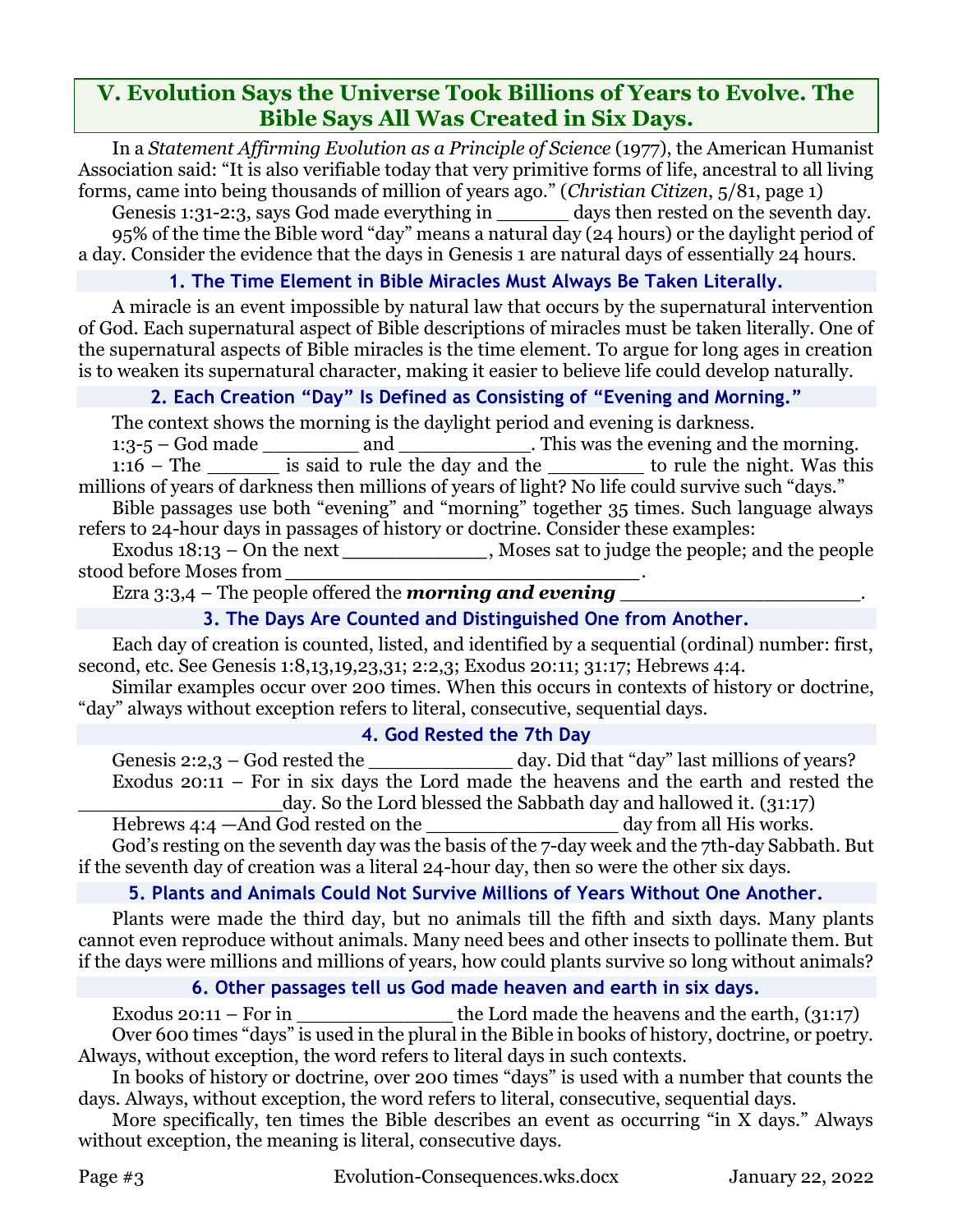# **V. Evolution Says the Universe Took Billions of Years to Evolve. The Bible Says All Was Created in Six Days.**

In a *Statement Affirming Evolution as a Principle of Science* (1977), the American Humanist Association said: "It is also verifiable today that very primitive forms of life, ancestral to all living forms, came into being thousands of million of years ago." (*Christian Citizen*, 5/81, page 1)

Genesis 1:31-2:3, says God made everything in \_\_\_\_\_\_\_ days then rested on the seventh day. 95% of the time the Bible word "day" means a natural day (24 hours) or the daylight period of a day. Consider the evidence that the days in Genesis 1 are natural days of essentially 24 hours.

### **1. The Time Element in Bible Miracles Must Always Be Taken Literally.**

A miracle is an event impossible by natural law that occurs by the supernatural intervention of God. Each supernatural aspect of Bible descriptions of miracles must be taken literally. One of the supernatural aspects of Bible miracles is the time element. To argue for long ages in creation is to weaken its supernatural character, making it easier to believe life could develop naturally.

### **2. Each Creation "Day" Is Defined as Consisting of "Evening and Morning."**

The context shows the morning is the daylight period and evening is darkness.

1:3-5 – God made \_\_\_\_\_\_\_\_ and \_\_\_\_\_\_\_\_\_\_\_. This was the evening and the morning. 1:16 – The is said to rule the day and the to rule the night. Was this millions of years of darkness then millions of years of light? No life could survive such "days." Bible passages use both "evening" and "morning" together 35 times. Such language always

refers to 24-hour days in passages of history or doctrine. Consider these examples:

Exodus 18:13 – On the next \_\_\_\_\_\_\_\_\_\_\_\_\_, Moses sat to judge the people; and the people stood before Moses from *\_\_\_\_\_\_\_\_\_\_\_\_\_\_\_\_\_\_\_\_\_\_\_\_\_\_\_*.

Ezra 3:3,4 – The people offered the *morning and evening* 

## **3. The Days Are Counted and Distinguished One from Another.**

Each day of creation is counted, listed, and identified by a sequential (ordinal) number: first, second, etc. See Genesis 1:8,13,19,23,31; 2:2,3; Exodus 20:11; 31:17; Hebrews 4:4.

Similar examples occur over 200 times. When this occurs in contexts of history or doctrine, "day" always without exception refers to literal, consecutive, sequential days.

#### **4. God Rested the 7th Day**

Genesis 2:2,3 – God rested the \_\_\_\_\_\_\_\_\_\_\_\_\_\_\_ day. Did that "day" last millions of years? Exodus 20:11 – For in six days the Lord made the heavens and the earth and rested the day. So the Lord blessed the Sabbath day and hallowed it. (31:17)

Hebrews 4:4 —And God rested on the \_\_\_\_\_\_\_\_\_\_\_\_\_\_\_\_\_\_\_\_\_ day from all His works.

God's resting on the seventh day was the basis of the 7-day week and the 7th-day Sabbath. But if the seventh day of creation was a literal 24-hour day, then so were the other six days.

## **5. Plants and Animals Could Not Survive Millions of Years Without One Another.**

Plants were made the third day, but no animals till the fifth and sixth days. Many plants cannot even reproduce without animals. Many need bees and other insects to pollinate them. But if the days were millions and millions of years, how could plants survive so long without animals?

## **6. Other passages tell us God made heaven and earth in six days.**

Exodus  $20:11$  – For in the Lord made the heavens and the earth,  $(31:17)$ Over 600 times "days" is used in the plural in the Bible in books of history, doctrine, or poetry. Always, without exception, the word refers to literal days in such contexts.

In books of history or doctrine, over 200 times "days" is used with a number that counts the days. Always, without exception, the word refers to literal, consecutive, sequential days.

More specifically, ten times the Bible describes an event as occurring "in X days." Always without exception, the meaning is literal, consecutive days.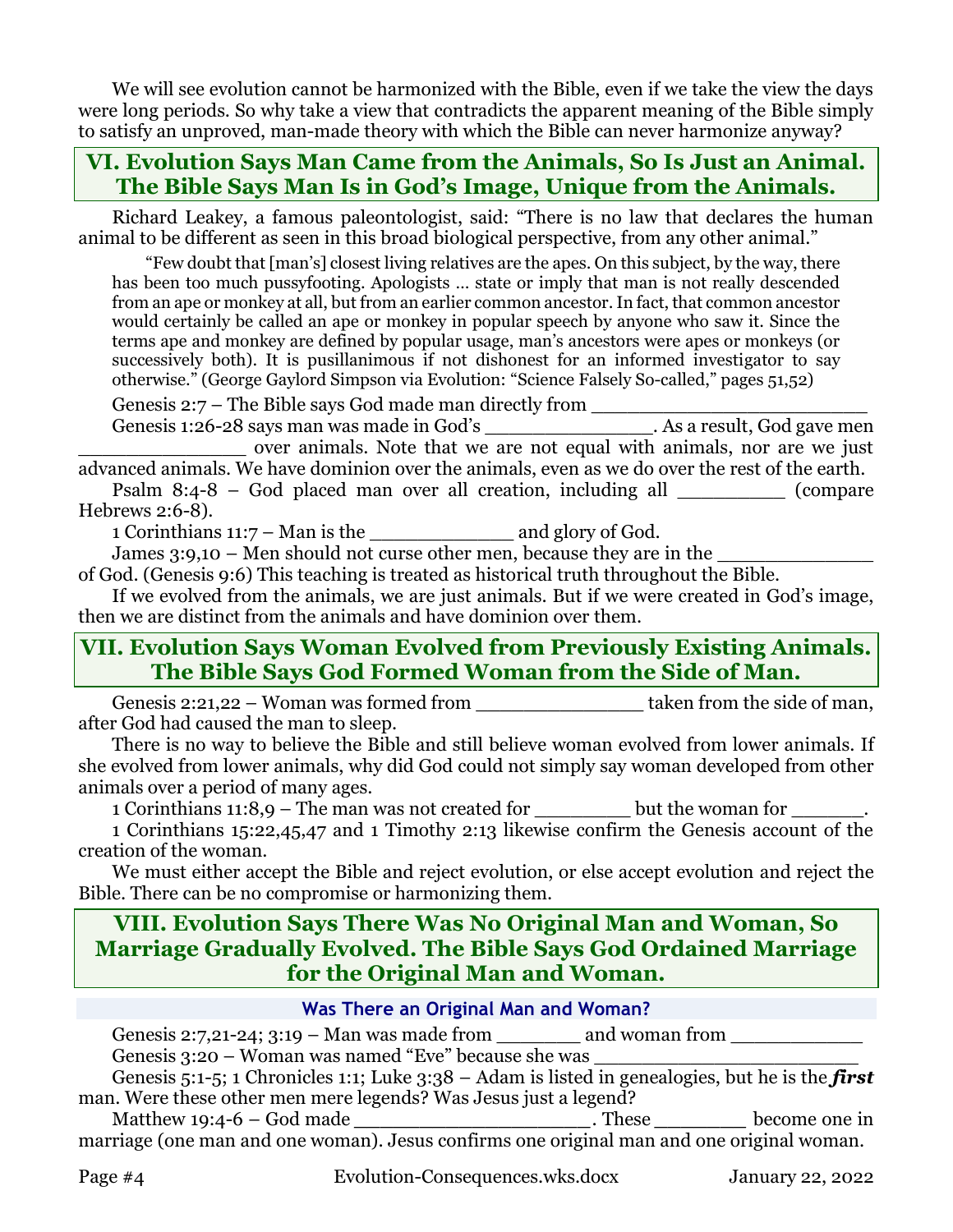We will see evolution cannot be harmonized with the Bible, even if we take the view the days were long periods. So why take a view that contradicts the apparent meaning of the Bible simply to satisfy an unproved, man-made theory with which the Bible can never harmonize anyway?

# **VI. Evolution Says Man Came from the Animals, So Is Just an Animal. The Bible Says Man Is in God's Image, Unique from the Animals.**

Richard Leakey, a famous paleontologist, said: "There is no law that declares the human animal to be different as seen in this broad biological perspective, from any other animal."

"Few doubt that [man's] closest living relatives are the apes. On this subject, by the way, there has been too much pussyfooting. Apologists … state or imply that man is not really descended from an ape or monkey at all, but from an earlier common ancestor. In fact, that common ancestor would certainly be called an ape or monkey in popular speech by anyone who saw it. Since the terms ape and monkey are defined by popular usage, man's ancestors were apes or monkeys (or successively both). It is pusillanimous if not dishonest for an informed investigator to say otherwise." (George Gaylord Simpson via Evolution: "Science Falsely So-called," pages 51,52)

Genesis 2:7 – The Bible says God made man directly from Genesis 1:26-28 says man was made in God's \_\_\_\_\_\_\_\_\_\_\_\_\_\_\_\_. As a result, God gave men

\_\_\_\_\_\_\_\_\_\_\_\_\_\_ over animals. Note that we are not equal with animals, nor are we just advanced animals. We have dominion over the animals, even as we do over the rest of the earth. Psalm 8:4-8 – God placed man over all creation, including all (compare

Hebrews 2:6-8).

1 Corinthians 11:7 – Man is the \_\_\_\_\_\_\_\_\_\_\_\_ and glory of God.

James  $3:9,10$  – Men should not curse other men, because they are in the

of God. (Genesis 9:6) This teaching is treated as historical truth throughout the Bible.

If we evolved from the animals, we are just animals. But if we were created in God's image, then we are distinct from the animals and have dominion over them.

# **VII. Evolution Says Woman Evolved from Previously Existing Animals. The Bible Says God Formed Woman from the Side of Man.**

Genesis 2:21,22 – Woman was formed from \_\_\_\_\_\_\_\_\_\_\_\_\_\_ taken from the side of man, after God had caused the man to sleep.

There is no way to believe the Bible and still believe woman evolved from lower animals. If she evolved from lower animals, why did God could not simply say woman developed from other animals over a period of many ages.

1 Corinthians 11:8,9 – The man was not created for but the woman for

1 Corinthians 15:22,45,47 and 1 Timothy 2:13 likewise confirm the Genesis account of the creation of the woman.

We must either accept the Bible and reject evolution, or else accept evolution and reject the Bible. There can be no compromise or harmonizing them.

# **VIII. Evolution Says There Was No Original Man and Woman, So Marriage Gradually Evolved. The Bible Says God Ordained Marriage for the Original Man and Woman.**

### **Was There an Original Man and Woman?**

Genesis 2:7,21-24; 3:19 – Man was made from  $\qquad \qquad$  and woman from

Genesis 3:20 – Woman was named "Eve" because she was

Genesis 5:1-5; 1 Chronicles 1:1; Luke 3:38 – Adam is listed in genealogies, but he is the *first*  man. Were these other men mere legends? Was Jesus just a legend?

Matthew 19:4-6 – God made *\_\_\_\_\_\_\_\_\_\_\_\_\_\_\_\_\_\_*. These *\_\_\_\_\_\_\_* become one in marriage (one man and one woman). Jesus confirms one original man and one original woman.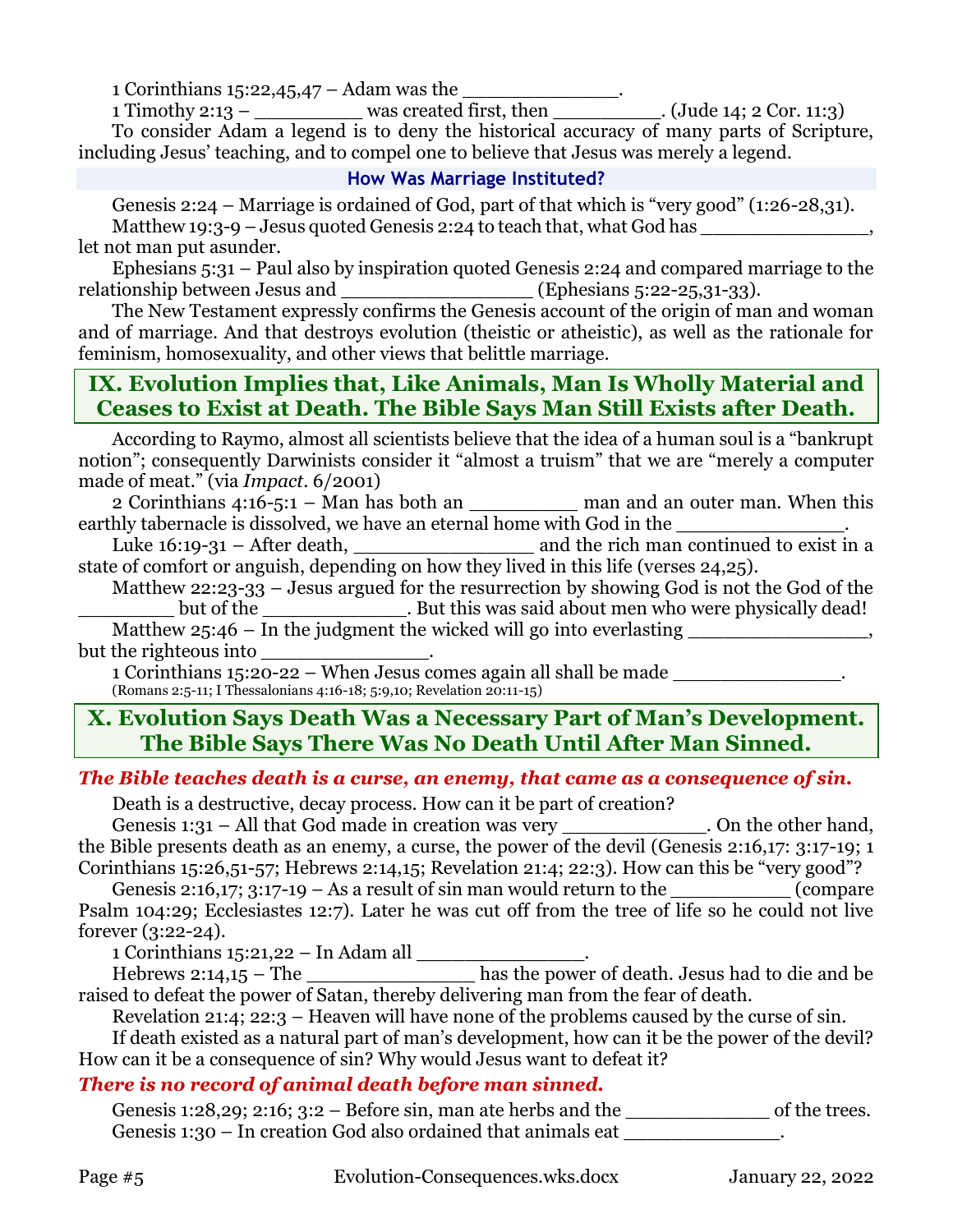1 Corinthians 15:22,45,47 – Adam was the

 $\frac{1 \text{ Timothy 2:13} - \text{1:1:3}}{2}$  was created first, then  $\frac{1}{2}$ . (Jude 14; 2 Cor. 11:3) To consider Adam a legend is to deny the historical accuracy of many parts of Scripture, including Jesus' teaching, and to compel one to believe that Jesus was merely a legend.

#### **How Was Marriage Instituted?**

Genesis 2:24 – Marriage is ordained of God, part of that which is "very good" (1:26-28,31). Matthew 19:3-9 – Jesus quoted Genesis 2:24 to teach that, what God has  $\cdot$ let not man put asunder.

Ephesians 5:31 – Paul also by inspiration quoted Genesis 2:24 and compared marriage to the relationship between Jesus and \_\_\_\_\_\_\_\_\_\_\_\_\_\_\_\_\_\_\_\_\_\_ (Ephesians 5:22-25,31-33).

The New Testament expressly confirms the Genesis account of the origin of man and woman and of marriage. And that destroys evolution (theistic or atheistic), as well as the rationale for feminism, homosexuality, and other views that belittle marriage.

# **IX. Evolution Implies that, Like Animals, Man Is Wholly Material and Ceases to Exist at Death. The Bible Says Man Still Exists after Death.**

According to Raymo, almost all scientists believe that the idea of a human soul is a "bankrupt notion"; consequently Darwinists consider it "almost a truism" that we are "merely a computer made of meat." (via *Impact*. 6/2001)

2 Corinthians 4:16-5:1 – Man has both an \_\_\_\_\_\_\_\_\_\_ man and an outer man. When this earthly tabernacle is dissolved, we have an eternal home with God in the

Luke 16:19-31 – After death, \_\_\_\_\_\_\_\_\_\_\_\_\_\_\_ and the rich man continued to exist in a state of comfort or anguish, depending on how they lived in this life (verses 24,25).

Matthew 22:23-33 – Jesus argued for the resurrection by showing God is not the God of the \_\_\_\_\_\_\_\_ but of the \_\_\_\_\_\_\_\_\_\_\_\_. But this was said about men who were physically dead! Matthew 25:46 – In the judgment the wicked will go into everlasting \_\_\_\_\_\_\_\_\_\_\_\_\_\_,

but the righteous into

1 Corinthians 15:20-22 – When Jesus comes again all shall be made \_\_\_\_\_\_\_\_\_\_\_\_\_\_. (Romans 2:5-11; I Thessalonians 4:16-18; 5:9,10; Revelation 20:11-15)

# **X. Evolution Says Death Was a Necessary Part of Man's Development. The Bible Says There Was No Death Until After Man Sinned.**

### *The Bible teaches death is a curse, an enemy, that came as a consequence of sin.*

Death is a destructive, decay process. How can it be part of creation?

Genesis 1:31 – All that God made in creation was very \_\_\_\_\_\_\_\_\_\_\_\_\_. On the other hand, the Bible presents death as an enemy, a curse, the power of the devil (Genesis 2:16,17: 3:17-19; 1 Corinthians 15:26,51-57; Hebrews 2:14,15; Revelation 21:4; 22:3). How can this be "very good"?

Genesis 2:16,17; 3:17-19 – As a result of sin man would return to the  $\_\_$  (compare Psalm 104:29; Ecclesiastes 12:7). Later he was cut off from the tree of life so he could not live forever (3:22-24).

1 Corinthians 15:21,22 – In Adam all \_\_\_\_\_\_\_\_\_\_\_\_\_\_.

Hebrews 2:14,15 – The \_\_\_\_\_\_\_\_\_\_\_\_\_\_ has the power of death. Jesus had to die and be raised to defeat the power of Satan, thereby delivering man from the fear of death.

Revelation 21:4; 22:3 – Heaven will have none of the problems caused by the curse of sin.

If death existed as a natural part of man's development, how can it be the power of the devil? How can it be a consequence of sin? Why would Jesus want to defeat it?

## *There is no record of animal death before man sinned.*

Genesis 1:28,29; 2:16;  $3:2 -$  Before sin, man ate herbs and the  $\qquad \qquad$  of the trees. Genesis 1:30 – In creation God also ordained that animals eat  $\qquad \qquad$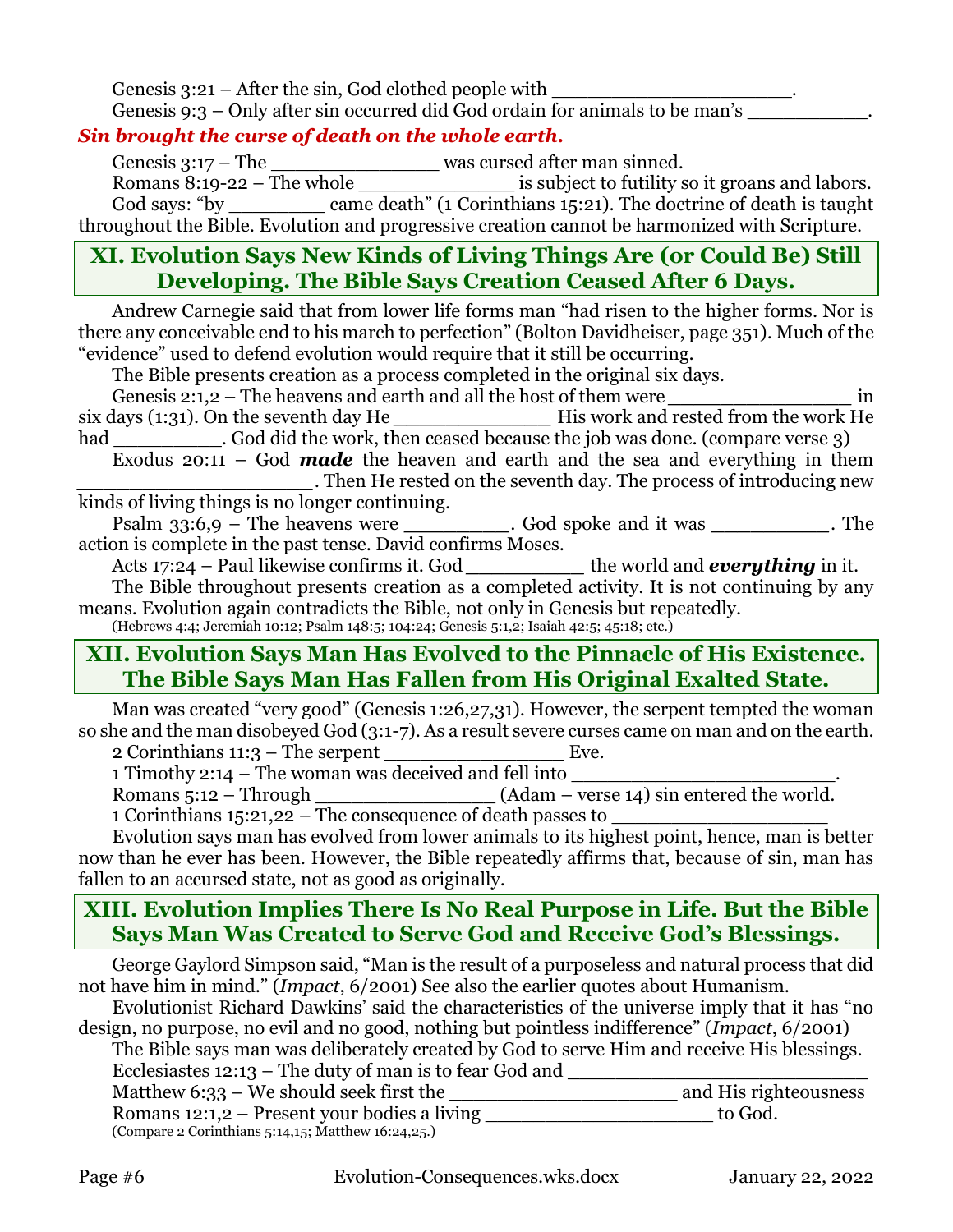Genesis  $3:21$  – After the sin, God clothed people with Genesis 9:3 – Only after sin occurred did God ordain for animals to be man's  $\Box$ 

## *Sin brought the curse of death on the whole earth.*

Genesis 3:17 – The \_\_\_\_\_\_\_\_\_\_\_\_\_\_\_\_\_\_\_\_ was cursed after man sinned.

Romans 8:19-22 – The whole \_\_\_\_\_\_\_\_\_\_\_\_\_\_\_\_\_\_\_\_\_ is subject to futility so it groans and labors. God says: "by \_\_\_\_\_\_\_\_\_\_ came death" (1 Corinthians 15:21). The doctrine of death is taught throughout the Bible. Evolution and progressive creation cannot be harmonized with Scripture.

# **XI. Evolution Says New Kinds of Living Things Are (or Could Be) Still Developing. The Bible Says Creation Ceased After 6 Days.**

Andrew Carnegie said that from lower life forms man "had risen to the higher forms. Nor is there any conceivable end to his march to perfection" (Bolton Davidheiser, page 351). Much of the "evidence" used to defend evolution would require that it still be occurring.

The Bible presents creation as a process completed in the original six days.

Genesis 2:1,2 – The heavens and earth and all the host of them were *in* six days (1:31). On the seventh day He *\_\_\_\_\_\_\_\_\_\_\_\_* His work and rested from the work He

had . God did the work, then ceased because the job was done. (compare verse 3)

Exodus 20:11 – God *made* the heaven and earth and the sea and everything in them *\_\_\_\_\_\_\_\_\_\_\_\_\_\_\_\_\_\_*. Then He rested on the seventh day. The process of introducing new kinds of living things is no longer continuing.

Psalm 33:6,9 – The heavens were *\_\_\_\_\_\_\_\_*. God spoke and it was *\_\_\_\_\_\_\_\_\_*. The action is complete in the past tense. David confirms Moses.

Acts 17:24 – Paul likewise confirms it. God *\_\_\_\_\_\_\_\_\_* the world and *everything* in it.

The Bible throughout presents creation as a completed activity. It is not continuing by any means. Evolution again contradicts the Bible, not only in Genesis but repeatedly.

(Hebrews 4:4; Jeremiah 10:12; Psalm 148:5; 104:24; Genesis 5:1,2; Isaiah 42:5; 45:18; etc.)

# **XII. Evolution Says Man Has Evolved to the Pinnacle of His Existence. The Bible Says Man Has Fallen from His Original Exalted State.**

Man was created "very good" (Genesis 1:26,27,31). However, the serpent tempted the woman so she and the man disobeyed God (3:1-7). As a result severe curses came on man and on the earth.

2 Corinthians 11:3 – The serpent \_\_\_\_\_\_\_\_\_\_\_\_\_\_\_ Eve.

1 Timothy 2:14 – The woman was deceived and fell into

Romans 5:12 – Through \_\_\_\_\_\_\_\_\_\_\_\_\_\_\_\_\_\_(Adam – verse 14) sin entered the world.

1 Corinthians 15:21,22 – The consequence of death passes to

Evolution says man has evolved from lower animals to its highest point, hence, man is better now than he ever has been. However, the Bible repeatedly affirms that, because of sin, man has fallen to an accursed state, not as good as originally.

# **XIII. Evolution Implies There Is No Real Purpose in Life. But the Bible Says Man Was Created to Serve God and Receive God's Blessings.**

George Gaylord Simpson said, "Man is the result of a purposeless and natural process that did not have him in mind." (*Impact*, 6/2001) See also the earlier quotes about Humanism.

Evolutionist Richard Dawkins' said the characteristics of the universe imply that it has "no design, no purpose, no evil and no good, nothing but pointless indifference" (*Impact*, 6/2001)

The Bible says man was deliberately created by God to serve Him and receive His blessings. Ecclesiastes  $12:13$  – The duty of man is to fear God and

Matthew 6:33 – We should seek first the \_\_\_\_\_\_\_\_\_\_\_\_\_\_\_\_\_\_\_ and His righteousness

Romans 12:1,2 – Present your bodies a living to God. (Compare 2 Corinthians 5:14,15; Matthew 16:24,25.)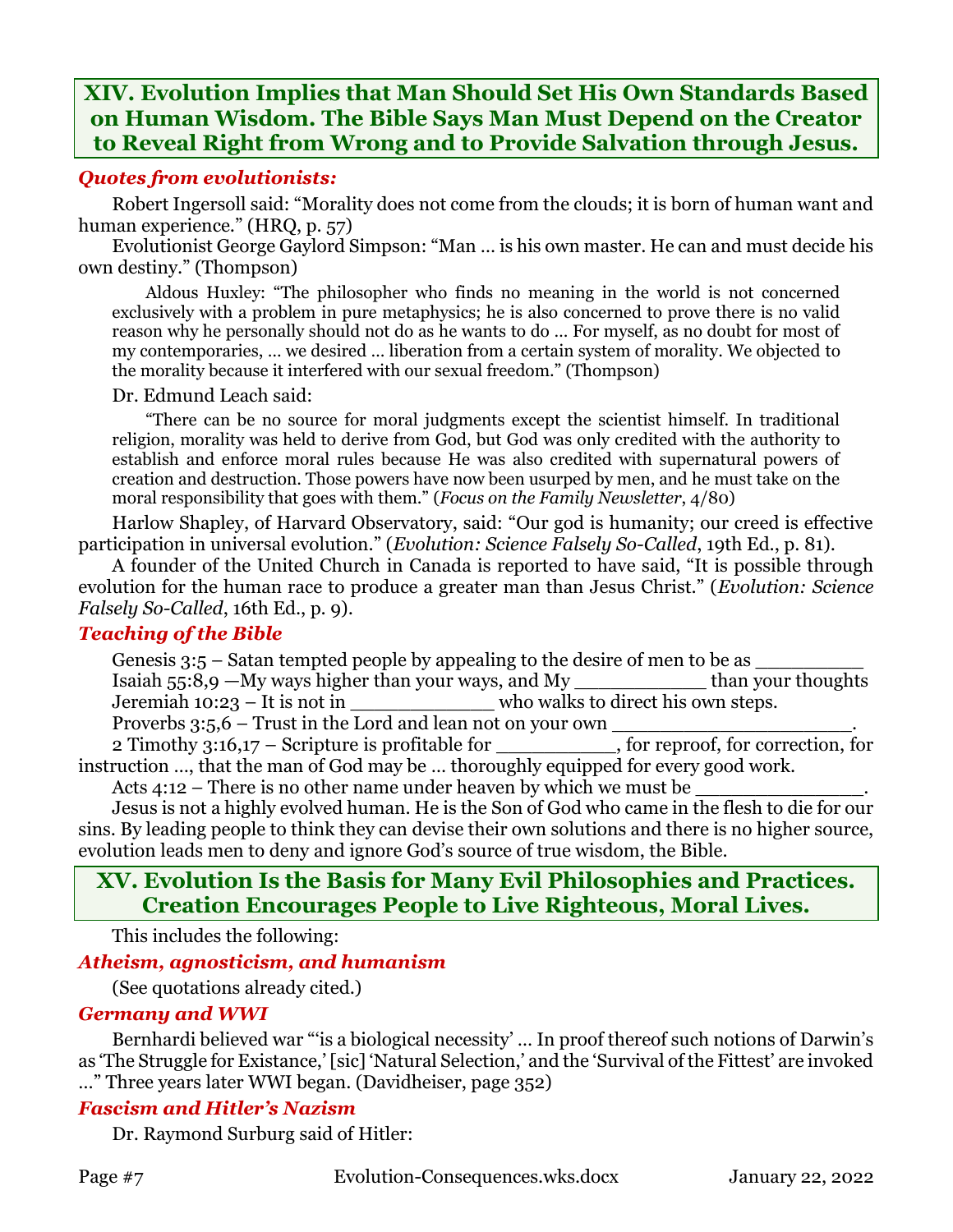# **XIV. Evolution Implies that Man Should Set His Own Standards Based on Human Wisdom. The Bible Says Man Must Depend on the Creator to Reveal Right from Wrong and to Provide Salvation through Jesus.**

#### *Quotes from evolutionists:*

Robert Ingersoll said: "Morality does not come from the clouds; it is born of human want and human experience." (HRQ, p. 57)

Evolutionist George Gaylord Simpson: "Man … is his own master. He can and must decide his own destiny." (Thompson)

Aldous Huxley: "The philosopher who finds no meaning in the world is not concerned exclusively with a problem in pure metaphysics; he is also concerned to prove there is no valid reason why he personally should not do as he wants to do … For myself, as no doubt for most of my contemporaries, … we desired … liberation from a certain system of morality. We objected to the morality because it interfered with our sexual freedom." (Thompson)

#### Dr. Edmund Leach said:

"There can be no source for moral judgments except the scientist himself. In traditional religion, morality was held to derive from God, but God was only credited with the authority to establish and enforce moral rules because He was also credited with supernatural powers of creation and destruction. Those powers have now been usurped by men, and he must take on the moral responsibility that goes with them." (*Focus on the Family Newsletter*, 4/80)

Harlow Shapley, of Harvard Observatory, said: "Our god is humanity; our creed is effective participation in universal evolution." (*Evolution: Science Falsely So-Called*, 19th Ed., p. 81).

A founder of the United Church in Canada is reported to have said, "It is possible through evolution for the human race to produce a greater man than Jesus Christ." (*Evolution: Science Falsely So-Called*, 16th Ed., p. 9).

#### *Teaching of the Bible*

Genesis  $3:5$  – Satan tempted people by appealing to the desire of men to be as  $\frac{1}{2}$  Isaiah 55:8,9 – My ways higher than your ways, and My than your thoughts Isaiah 55:8,9 —My ways higher than your ways, and My

Jeremiah 10:23 – It is not in who walks to direct his own steps.

Proverbs  $3:5,6$  – Trust in the Lord and lean not on your own  $\_$ 

2 Timothy 3:16,17 – Scripture is profitable for , for reproof, for correction, for instruction …, that the man of God may be … thoroughly equipped for every good work.

Acts  $4:12$  – There is no other name under heaven by which we must be

Jesus is not a highly evolved human. He is the Son of God who came in the flesh to die for our sins. By leading people to think they can devise their own solutions and there is no higher source, evolution leads men to deny and ignore God's source of true wisdom, the Bible.

# **XV. Evolution Is the Basis for Many Evil Philosophies and Practices. Creation Encourages People to Live Righteous, Moral Lives.**

This includes the following:

### *Atheism, agnosticism, and humanism*

(See quotations already cited.)

### *Germany and WWI*

Bernhardi believed war "is a biological necessity' ... In proof thereof such notions of Darwin's as 'The Struggle for Existance,' [sic] 'Natural Selection,' and the 'Survival of the Fittest' are invoked …" Three years later WWI began. (Davidheiser, page 352)

### *Fascism and Hitler's Nazism*

Dr. Raymond Surburg said of Hitler: